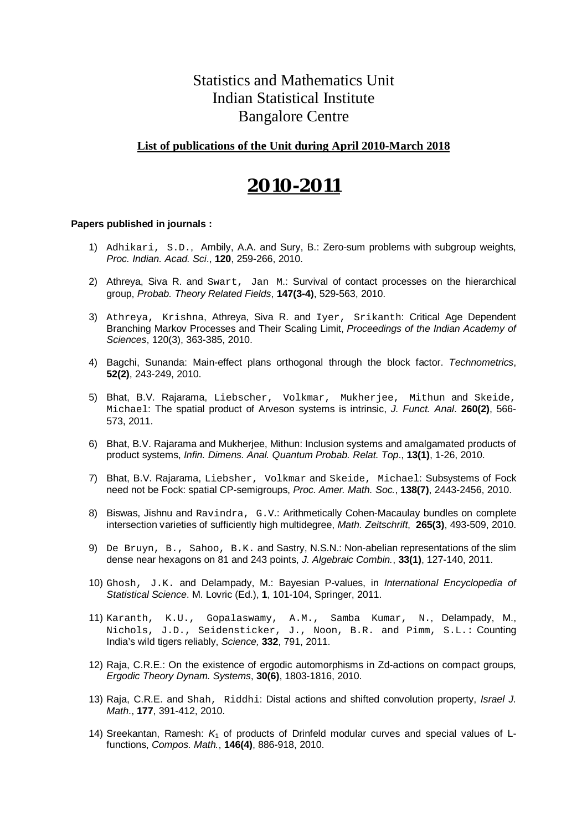### Statistics and Mathematics Unit Indian Statistical Institute Bangalore Centre

#### **List of publications of the Unit during April 2010-March 2018**

## **2010-2011**

- 1) Adhikari, S.D., Ambily, A.A. and Sury, B.: Zero-sum problems with subgroup weights, *Proc. Indian. Acad. Sci*., **120**, 259-266, 2010.
- 2) Athreya, Siva R. and Swart, Jan M.: Survival of contact processes on the hierarchical group, *Probab. Theory Related Fields*, **147(3-4)**, 529-563, 2010.
- 3) Athreya, Krishna, Athreya, Siva R. and Iyer, Srikanth: Critical Age Dependent Branching Markov Processes and Their Scaling Limit, *Proceedings of the Indian Academy of Sciences*, 120(3), 363-385, 2010.
- 4) Bagchi, Sunanda: Main-effect plans orthogonal through the block factor. *Technometrics*, **52(2)**, 243-249, 2010.
- 5) Bhat, B.V. Rajarama, Liebscher, Volkmar, Mukherjee, Mithun and Skeide, Michael: The spatial product of Arveson systems is intrinsic, *J. Funct. Anal*. **260(2)**, 566- 573, 2011.
- 6) Bhat, B.V. Rajarama and Mukherjee, Mithun: Inclusion systems and amalgamated products of product systems, *Infin. Dimens. Anal. Quantum Probab. Relat. Top*., **13(1)**, 1-26, 2010.
- 7) Bhat, B.V. Rajarama, Liebsher, Volkmar and Skeide, Michael: Subsystems of Fock need not be Fock: spatial CP-semigroups, *Proc. Amer. Math. Soc.*, **138(7)**, 2443-2456, 2010.
- 8) Biswas, Jishnu and Ravindra, G.V.: Arithmetically Cohen-Macaulay bundles on complete intersection varieties of sufficiently high multidegree, *Math. Zeitschrift*, **265(3)**, 493-509, 2010.
- 9) De Bruyn, B., Sahoo, B.K. and Sastry, N.S.N.: Non-abelian representations of the slim dense near hexagons on 81 and 243 points, *J. Algebraic Combin.*, **33(1)**, 127-140, 2011.
- 10) Ghosh, J.K. and Delampady, M.: Bayesian P-values, in *International Encyclopedia of Statistical Science*. M. Lovric (Ed.), **1**, 101-104, Springer, 2011.
- 11) Karanth, K.U., Gopalaswamy, A.M., Samba Kumar, N., Delampady, M., Nichols, J.D., Seidensticker, J., Noon, B.R. and Pimm, S.L.: Counting India's wild tigers reliably, *Science,* **332**, 791, 2011.
- 12) Raja, C.R.E.: On the existence of ergodic automorphisms in Zd-actions on compact groups, *Ergodic Theory Dynam. Systems*, **30(6)**, 1803-1816, 2010.
- 13) Raja, C.R.E. and Shah, Riddhi: Distal actions and shifted convolution property, *Israel J. Math*., **177**, 391-412, 2010.
- 14) Sreekantan, Ramesh: *K*<sup>1</sup> of products of Drinfeld modular curves and special values of Lfunctions, *Compos. Math.*, **146(4)**, 886-918, 2010.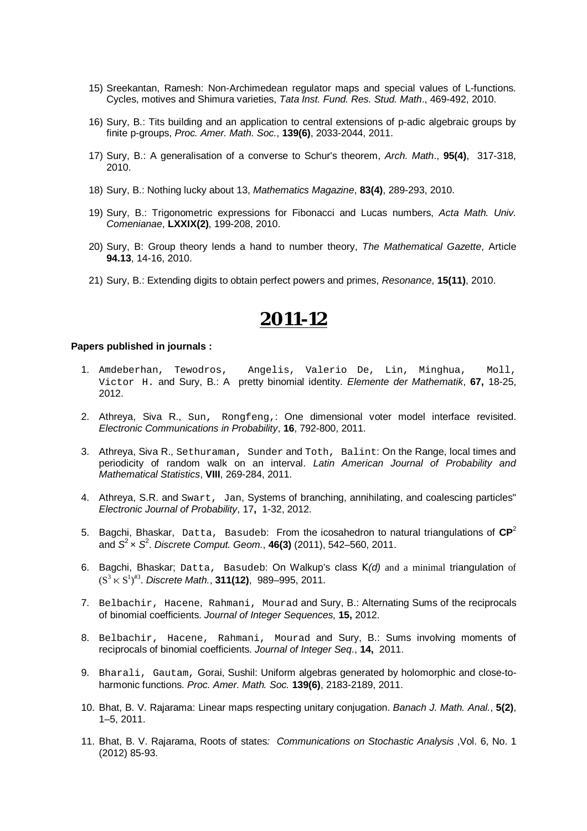- 15) Sreekantan, Ramesh: Non-Archimedean regulator maps and special values of L-functions. Cycles, motives and Shimura varieties, *Tata Inst. Fund. Res. Stud. Math*., 469-492, 2010.
- 16) Sury, B.: Tits building and an application to central extensions of p-adic algebraic groups by finite p-groups, *Proc. Amer. Math. Soc.*, **139(6)**, 2033-2044, 2011.
- 17) Sury, B.: A generalisation of a converse to Schur's theorem, *Arch. Math*., **95(4)**, 317-318, 2010.
- 18) Sury, B.: Nothing lucky about 13, *Mathematics Magazine*, **83(4)**, 289-293, 2010.
- 19) Sury, B.: Trigonometric expressions for Fibonacci and Lucas numbers, *Acta Math. Univ. Comenianae*, **LXXIX(2)**, 199-208, 2010.
- 20) Sury, B: Group theory lends a hand to number theory, *The Mathematical Gazette*, Article **94.13**, 14-16, 2010.
- 21) Sury, B.: Extending digits to obtain perfect powers and primes, *Resonance*, **15(11)**, 2010.

- 1. Amdeberhan, Tewodros, Angelis, Valerio De, Lin, Minghua, Moll, Victor H. and Sury, B.: A pretty binomial identity. *Elemente der Mathematik*, **67,** 18-25, 2012.
- 2. Athreya, Siva R., Sun, Rongfeng,: One dimensional voter model interface revisited. *Electronic Communications in Probability*, **16**, 792-800, 2011.
- 3. Athreya, Siva R., Sethuraman, Sunder and Toth, Balint: On the Range, local times and periodicity of random walk on an interval. *Latin American Journal of Probability and Mathematical Statistics*, **VIII**, 269-284, 2011.
- 4. Athreya, S.R. and Swart, Jan, Systems of branching, annihilating, and coalescing particles" *Electronic Journal of Probability*, 17**,** 1-32, 2012.
- 5. Bagchi, Bhaskar, Datta, Basudeb: From the icosahedron to natural triangulations of **CP** 2 and *S* <sup>2</sup>× *S* 2 . *Discrete Comput. Geom.*, **46(3)** (2011), 542–560, 2011.
- 6. Bagchi, Bhaskar; Datta, Basudeb: On Walkup's class *K(d)* and a minimal triangulation of  $(S^3 \ltimes S^1)^{\# 3}$ . Discrete Math., **311(12)**, 989–995, 2011.
- 7. Belbachir, Hacene, Rahmani, Mourad and Sury, B.: Alternating Sums of the reciprocals of binomial coefficients. *Journal of Integer Sequences,* **15,** 2012.
- 8. Belbachir, Hacene, Rahmani, Mourad and Sury, B.: Sums involving moments of reciprocals of binomial coefficients. *Journal of Integer Seq*., **14,** 2011.
- 9. Bharali, Gautam, Gorai, Sushil: Uniform algebras generated by holomorphic and close-toharmonic functions. *Proc. Amer. Math. Soc.* **139(6)**, 2183-2189, 2011.
- 10. Bhat, B. V. Rajarama: Linear maps respecting unitary conjugation. *Banach J. Math. Anal.*, **5(2)**, 1–5, 2011.
- 11. Bhat, B. V. Rajarama, Roots of states*: Communications on Stochastic Analysis* ,Vol. 6, No. 1 (2012) 85-93.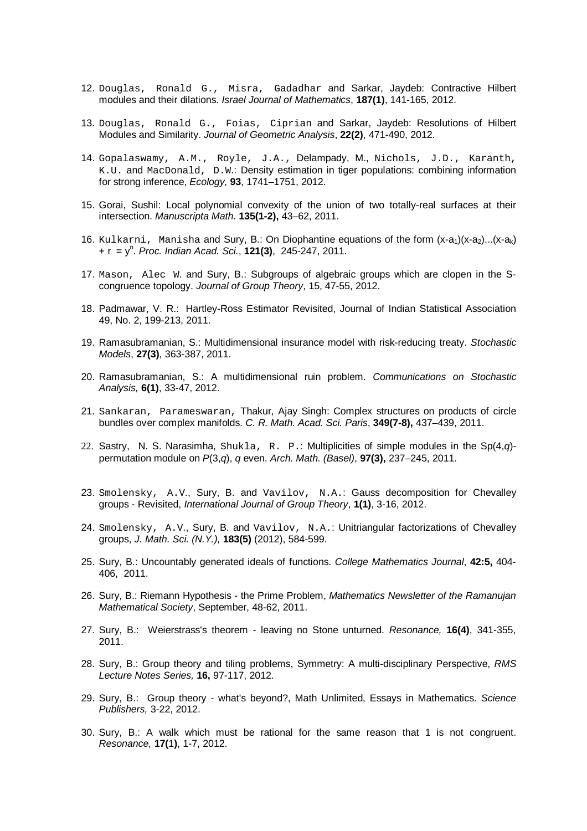- 12. Douglas, Ronald G., Misra, Gadadhar and Sarkar, Jaydeb: Contractive Hilbert modules and their dilations. *Israel Journal of Mathematics*, **187(1)**, 141-165, 2012.
- 13. Douglas, Ronald G., Foias, Ciprian and Sarkar, Jaydeb: Resolutions of Hilbert Modules and Similarity. *Journal of Geometric Analysis*, **22(2)**, 471-490, 2012.
- 14. Gopalaswamy, A.M., Royle, J.A., Delampady, M., Nichols, J.D., Karanth, K.U. and MacDonald, D.W.: Density estimation in tiger populations: combining information for strong inference, *Ecology,* **93**, 1741–1751, 2012.
- 15. Gorai, Sushil: Local polynomial convexity of the union of two totally-real surfaces at their intersection. *Manuscripta Math.* **135(1-2),** 43–62, 2011.
- 16. Kulkarni, Manisha and Sury, B.: On Diophantine equations of the form  $(x-a_1)(x-a_2)...(x-a_k)$ + r = y<sup>n</sup> . *Proc. Indian Acad. Sci.*, **121(3)**, 245-247, 2011.
- 17. Mason, Alec W. and Sury, B.: Subgroups of algebraic groups which are clopen in the Scongruence topology. *Journal of Group Theory*, 15, 47-55, 2012.
- 18. Padmawar, V. R.: Hartley-Ross Estimator Revisited, Journal of Indian Statistical Association 49, No. 2, 199-213, 2011.
- 19. Ramasubramanian, S.: Multidimensional insurance model with risk-reducing treaty. *Stochastic Models*, **27(3)**, 363-387, 2011.
- 20. Ramasubramanian, S.: A multidimensional ruin problem. *Communications on Stochastic Analysis,* **6(1)**, 33-47, 2012.
- 21. Sankaran, Parameswaran, Thakur, Ajay Singh: Complex structures on products of circle bundles over complex manifolds. *C. R. Math. Acad. Sci. Paris*, **349(7-8),** 437–439, 2011.
- 22. Sastry, N. S. Narasimha, Shukla, R. P.: Multiplicities of simple modules in the Sp(4,*q*) permutation module on *P*(3,*q*), *q* even. *Arch. Math. (Basel)*, **97(3),** 237–245, 2011.
- 23. Smolensky, A.V., Sury, B. and Vavilov, N.A.: Gauss decomposition for Chevalley groups - Revisited, *International Journal of Group Theory*, **1(1)**, 3-16, 2012.
- 24. Smolensky, A.V., Sury, B. and Vavilov, N.A.: Unitriangular factorizations of Chevalley groups, *J. Math. Sci. (N.Y.),* **183(5)** (2012), 584-599.
- 25. Sury, B.: Uncountably generated ideals of functions. *College Mathematics Journal*, **42:5,** 404- 406, 2011.
- 26. Sury, B.: Riemann Hypothesis the Prime Problem, *Mathematics Newsletter of the Ramanujan Mathematical Society*, September, 48-62, 2011.
- 27. Sury, B.: Weierstrass's theorem leaving no Stone unturned. *Resonance,* **16(4)**, 341-355, 2011.
- 28. Sury, B.: Group theory and tiling problems, Symmetry: A multi-disciplinary Perspective, *RMS Lecture Notes Series,* **16,** 97-117, 2012.
- 29. Sury, B.: Group theory what's beyond?, Math Unlimited, Essays in Mathematics. *Science Publishers,* 3-22, 2012.
- 30. Sury, B.: A walk which must be rational for the same reason that 1 is not congruent. *Resonance,* **17(**1**)**, 1-7, 2012.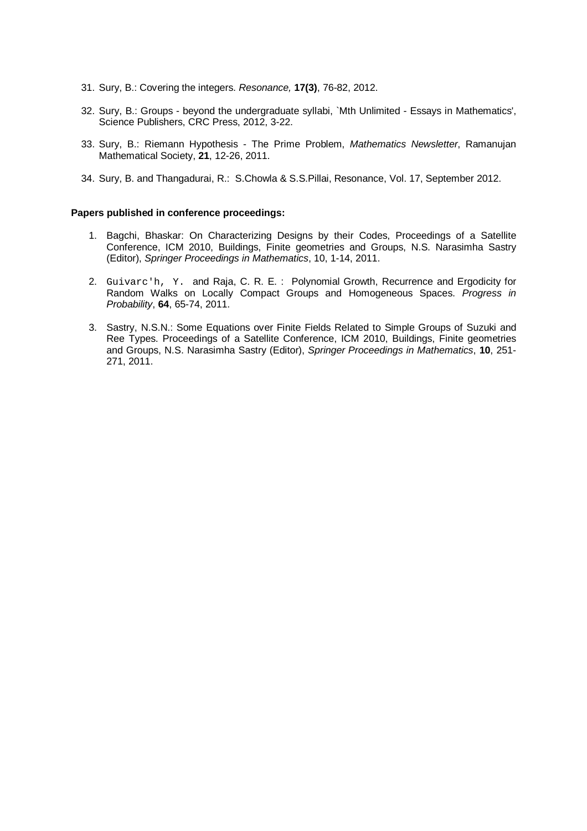- 31. Sury, B.: Covering the integers. *Resonance,* **17(3)**, 76-82, 2012.
- 32. Sury, B.: Groups beyond the undergraduate syllabi, `Mth Unlimited Essays in Mathematics', Science Publishers, CRC Press, 2012, 3-22.
- 33. Sury, B.: Riemann Hypothesis The Prime Problem, *Mathematics Newsletter*, Ramanujan Mathematical Society, **21**, 12-26, 2011.
- 34. Sury, B. and Thangadurai, R.: S.Chowla & S.S.Pillai, Resonance, Vol. 17, September 2012.

#### **Papers published in conference proceedings:**

- 1. Bagchi, Bhaskar: On Characterizing Designs by their Codes, Proceedings of a Satellite Conference, ICM 2010, Buildings, Finite geometries and Groups, N.S. Narasimha Sastry (Editor), *Springer Proceedings in Mathematics*, 10, 1-14, 2011.
- 2. Guivarc'h, Y. and Raja, C. R. E. : Polynomial Growth, Recurrence and Ergodicity for Random Walks on Locally Compact Groups and Homogeneous Spaces. *Progress in Probability*, **64**, 65-74, 2011.
- 3. Sastry, N.S.N.: Some Equations over Finite Fields Related to Simple Groups of Suzuki and Ree Types. Proceedings of a Satellite Conference, ICM 2010, Buildings, Finite geometries and Groups, N.S. Narasimha Sastry (Editor), *Springer Proceedings in Mathematics*, **10**, 251- 271, 2011.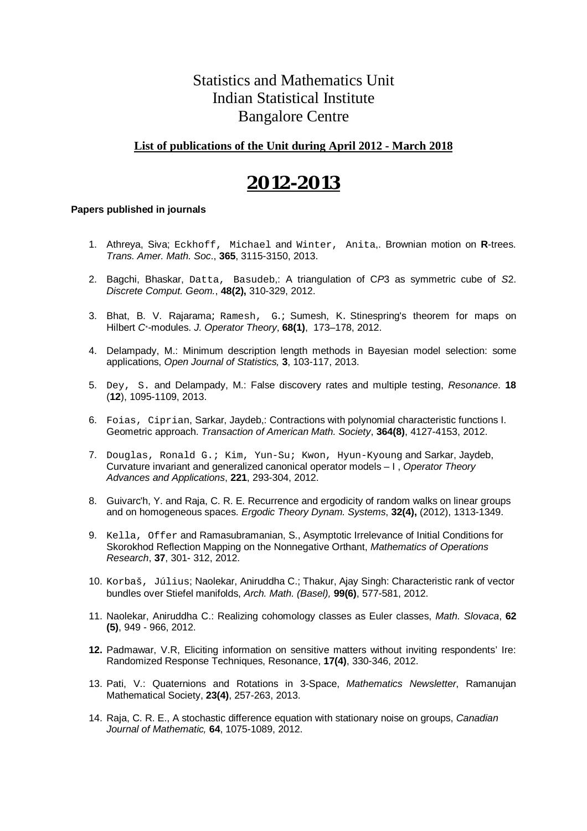### Statistics and Mathematics Unit Indian Statistical Institute Bangalore Centre

#### **List of publications of the Unit during April 2012 - March 2018**

## **2012-2013**

- 1. Athreya, Siva; Eckhoff, Michael and Winter, Anita,. Brownian motion on **R**-trees. *Trans. Amer. Math. Soc*., **365**, 3115-3150, 2013.
- 2. Bagchi, Bhaskar, Datta, Basudeb,: A triangulation of C*P*3 as symmetric cube of *S*2. *Discrete Comput. Geom.*, **48(2),** 310-329, 2012.
- 3. Bhat, B. V. Rajarama; Ramesh, G.; Sumesh, K. Stinespring's theorem for maps on Hilbert *C*∗-modules. *J. Operator Theory*, **68(1)**, 173–178, 2012.
- 4. Delampady, M.: Minimum description length methods in Bayesian model selection: some applications, *Open Journal of Statistics,* **3**, 103-117, 2013.
- 5. Dey, S. and Delampady, M.: False discovery rates and multiple testing, *Resonance*. **18** (**12**), 1095-1109, 2013.
- 6. Foias, Ciprian, Sarkar, Jaydeb,: Contractions with polynomial characteristic functions I. Geometric approach. *Transaction of American Math. Society*, **364(8)**, 4127-4153, 2012.
- 7. Douglas, Ronald G.; Kim, Yun-Su; Kwon, Hyun-Kyoung and Sarkar, Jaydeb, Curvature invariant and generalized canonical operator models – I , *Operator Theory Advances and Applications*, **221**, 293-304, 2012.
- 8. Guivarc'h, Y. and Raja, C. R. E. Recurrence and ergodicity of random walks on linear groups and on homogeneous spaces. *Ergodic Theory Dynam. Systems*, **32(4),** (2012), 1313-1349.
- 9. Kella, Offer and Ramasubramanian, S., Asymptotic Irrelevance of Initial Conditions for Skorokhod Reflection Mapping on the Nonnegative Orthant, *Mathematics of Operations Research*, **37**, 301- 312, 2012.
- 10. Korbaš, Július; Naolekar, Aniruddha C.; Thakur, Ajay Singh: Characteristic rank of vector bundles over Stiefel manifolds, *Arch. Math. (Basel),* **99(6)**, 577-581, 2012.
- 11. Naolekar, Aniruddha C.: Realizing cohomology classes as Euler classes, *Math. Slovaca*, **62 (5)**, 949 - 966, 2012.
- **12.** Padmawar, V.R, Eliciting information on sensitive matters without inviting respondents' Ire: Randomized Response Techniques, Resonance, **17(4)**, 330-346, 2012.
- 13. Pati, V.: Quaternions and Rotations in 3-Space, *Mathematics Newsletter*, Ramanujan Mathematical Society, **23(4)**, 257-263, 2013.
- 14. Raja, C. R. E., A stochastic difference equation with stationary noise on groups, *Canadian Journal of Mathematic,* **64**, 1075-1089, 2012.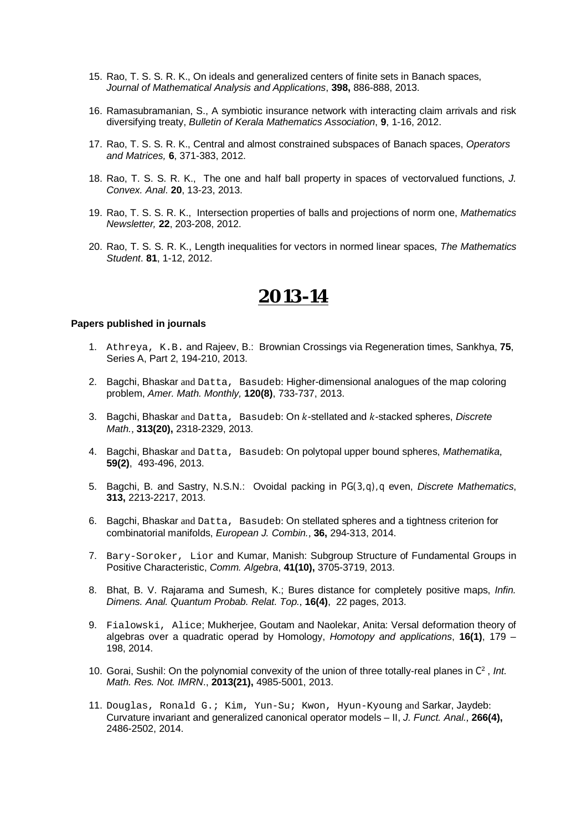- 15. Rao, T. S. S. R. K., On ideals and generalized centers of finite sets in Banach spaces, *Journal of Mathematical Analysis and Applications*, **398,** 886-888, 2013.
- 16. Ramasubramanian, S., A symbiotic insurance network with interacting claim arrivals and risk diversifying treaty, *Bulletin of Kerala Mathematics Association*, **9**, 1-16, 2012.
- 17. Rao, T. S. S. R. K., Central and almost constrained subspaces of Banach spaces, *Operators and Matrices,* **6**, 371-383, 2012.
- 18. Rao, T. S. S. R. K., The one and half ball property in spaces of vectorvalued functions, *J. Convex. Anal*. **20**, 13-23, 2013.
- 19. Rao, T. S. S. R. K., Intersection properties of balls and projections of norm one, *Mathematics Newsletter,* **22**, 203-208, 2012.
- 20. Rao, T. S. S. R. K., Length inequalities for vectors in normed linear spaces, *The Mathematics Student*. **81**, 1-12, 2012.

- 1. Athreya, K.B. and Rajeev, B.: Brownian Crossings via Regeneration times, Sankhya, **75**, Series A, Part 2, 194-210, 2013.
- 2. Bagchi, Bhaskar and Datta, Basudeb: Higher-dimensional analogues of the map coloring problem, *Amer. Math. Monthly,* **120(8)**, 733-737, 2013.
- 3. Bagchi, Bhaskar and Datta, Basudeb: On k-stellated and k-stacked spheres, *Discrete Math.*, **313(20),** 2318-2329, 2013.
- 4. Bagchi, Bhaskar and Datta, Basudeb: On polytopal upper bound spheres, *Mathematika*, **59(2)**, 493-496, 2013.
- 5. Bagchi, B. and Sastry, N.S.N.: Ovoidal packing in PG(3, q), q even, *Discrete Mathematics*, **313,** 2213-2217, 2013.
- 6. Bagchi, Bhaskar and Datta, Basudeb: On stellated spheres and a tightness criterion for combinatorial manifolds, *European J. Combin.*, **36,** 294-313, 2014.
- 7. Bary-Soroker, Lior and Kumar, Manish: Subgroup Structure of Fundamental Groups in Positive Characteristic, *Comm. Algebra*, **41(10),** 3705-3719, 2013.
- 8. Bhat, B. V. Rajarama and Sumesh, K.; Bures distance for completely positive maps, *Infin. Dimens. Anal. Quantum Probab. Relat. Top.*, **16(4)**, 22 pages, 2013.
- 9. Fialowski, Alice; Mukherjee, Goutam and Naolekar, Anita: Versal deformation theory of algebras over a quadratic operad by Homology, *Homotopy and applications*, **16(1)**, 179 – 198, 2014.
- 10. Gorai, Sushil: On the polynomial convexity of the union of three totally-real planes in C<sup>2</sup>, Int. *Math. Res. Not. IMRN*., **2013(21),** 4985-5001, 2013.
- 11. Douglas, Ronald G.; Kim, Yun-Su; Kwon, Hyun-Kyoung and Sarkar, Jaydeb: Curvature invariant and generalized canonical operator models – II, *J. Funct. Anal.*, **266(4),** 2486-2502, 2014.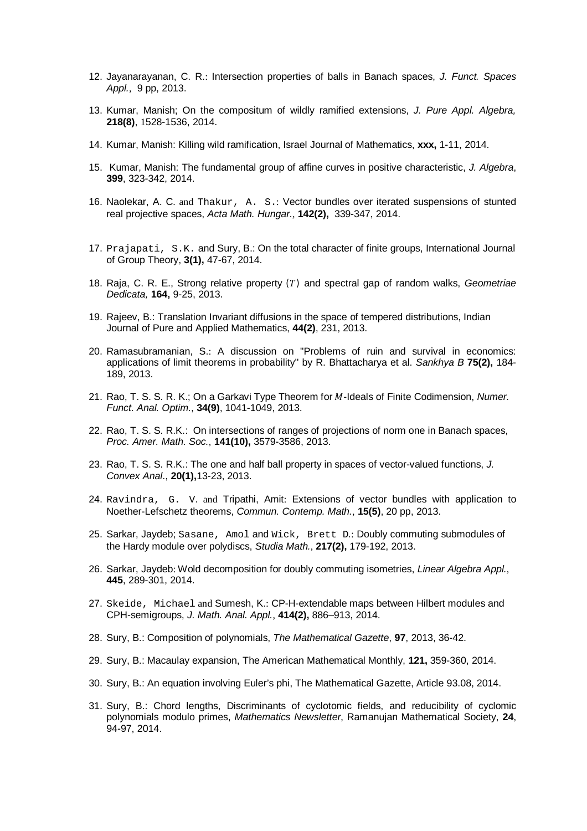- 12. Jayanarayanan, C. R.: Intersection properties of balls in Banach spaces, *J. Funct. Spaces Appl.*, 9 pp, 2013.
- 13. Kumar, Manish; On the compositum of wildly ramified extensions, *J. Pure Appl. Algebra,* **218(8)**, 1528-1536, 2014.
- 14. Kumar, Manish: Killing wild ramification, Israel Journal of Mathematics, **xxx,** 1-11, 2014.
- 15. Kumar, Manish: The fundamental group of affine curves in positive characteristic, *J. Algebra*, **399**, 323-342, 2014.
- 16. Naolekar, A. C. and Thakur, A. S.: Vector bundles over iterated suspensions of stunted real projective spaces, *Acta Math. Hungar.*, **142(2),** 339-347, 2014.
- 17. Prajapati, S.K. and Sury, B.: On the total character of finite groups, International Journal of Group Theory, **3(1),** 47-67, 2014.
- 18. Raja, C. R. E., Strong relative property (ܶ) and spectral gap of random walks, *Geometriae Dedicata,* **164,** 9-25, 2013.
- 19. Rajeev, B.: Translation Invariant diffusions in the space of tempered distributions, Indian Journal of Pure and Applied Mathematics, **44(2)**, 231, 2013.
- 20. Ramasubramanian, S.: A discussion on "Problems of ruin and survival in economics: applications of limit theorems in probability'' by R. Bhattacharya et al. *Sankhya B* **75(2),** 184- 189, 2013.
- 21. Rao, T. S. S. R. K.; On a Garkavi Type Theorem for M-Ideals of Finite Codimension, *Numer. Funct. Anal. Optim.*, **34(9)**, 1041-1049, 2013.
- 22. Rao, T. S. S. R.K.: On intersections of ranges of projections of norm one in Banach spaces, *Proc. Amer. Math. Soc.*, **141(10),** 3579-3586, 2013.
- 23. Rao, T. S. S. R.K.: The one and half ball property in spaces of vector-valued functions, *J. Convex Anal*., **20(1),**13-23, 2013.
- 24. Ravindra, G. V. and Tripathi, Amit: Extensions of vector bundles with application to Noether-Lefschetz theorems, *Commun. Contemp. Math.*, **15(5)**, 20 pp, 2013.
- 25. Sarkar, Jaydeb; Sasane, Amol and Wick, Brett D.: Doubly commuting submodules of the Hardy module over polydiscs, *Studia Math.*, **217(2),** 179-192, 2013.
- 26. Sarkar, Jaydeb: Wold decomposition for doubly commuting isometries, *Linear Algebra Appl.*, **445**, 289-301, 2014.
- 27. Skeide, Michael and Sumesh, K.: CP-H-extendable maps between Hilbert modules and CPH-semigroups, *J. Math. Anal. Appl.*, **414(2),** 886–913, 2014.
- 28. Sury, B.: Composition of polynomials, *The Mathematical Gazette*, **97**, 2013, 36-42.
- 29. Sury, B.: Macaulay expansion, The American Mathematical Monthly, **121,** 359-360, 2014.
- 30. Sury, B.: An equation involving Euler's phi, The Mathematical Gazette, Article 93.08, 2014.
- 31. Sury, B.: Chord lengths, Discriminants of cyclotomic fields, and reducibility of cyclomic polynomials modulo primes, *Mathematics Newsletter*, Ramanujan Mathematical Society, **24**, 94-97, 2014.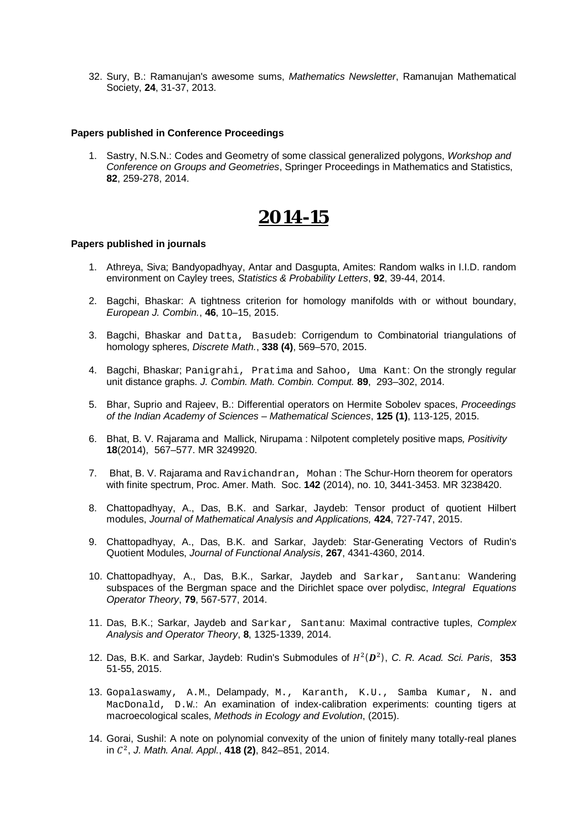32. Sury, B.: Ramanujan's awesome sums, *Mathematics Newsletter*, Ramanujan Mathematical Society, **24**, 31-37, 2013.

#### **Papers published in Conference Proceedings**

1. Sastry, N.S.N.: Codes and Geometry of some classical generalized polygons, *Workshop and Conference on Groups and Geometries*, Springer Proceedings in Mathematics and Statistics, **82**, 259-278, 2014.

## **2014-15**

- 1. Athreya, Siva; Bandyopadhyay, Antar and Dasgupta, Amites: Random walks in I.I.D. random environment on Cayley trees, *Statistics & Probability Letters*, **92**, 39-44, 2014.
- 2. Bagchi, Bhaskar: A tightness criterion for homology manifolds with or without boundary, *European J. Combin.*, **46**, 10–15, 2015.
- 3. Bagchi, Bhaskar and Datta, Basudeb: Corrigendum to Combinatorial triangulations of homology spheres, *Discrete Math.*, **338 (4)**, 569–570, 2015.
- 4. Bagchi, Bhaskar; Panigrahi, Pratima and Sahoo, Uma Kant: On the strongly regular unit distance graphs. *J. Combin. Math. Combin. Comput.* **89**, 293–302, 2014.
- 5. Bhar, Suprio and Rajeev, B.: Differential operators on Hermite Sobolev spaces, *Proceedings of the Indian Academy of Sciences – Mathematical Sciences*, **125 (1)**, 113-125, 2015.
- 6. Bhat, B. V. Rajarama and Mallick, Nirupama : Nilpotent completely positive maps*, Positivity* **18**(2014), 567–577. MR 3249920.
- 7. Bhat, B. V. Rajarama and Ravichandran, Mohan : The Schur-Horn theorem for operators with finite spectrum, Proc. Amer. Math. Soc. **142** (2014), no. 10, 3441-3453. MR 3238420.
- 8. Chattopadhyay, A., Das, B.K. and Sarkar, Jaydeb: Tensor product of quotient Hilbert modules, *Journal of Mathematical Analysis and Applications,* **424**, 727-747, 2015.
- 9. Chattopadhyay, A., Das, B.K. and Sarkar, Jaydeb: Star-Generating Vectors of Rudin's Quotient Modules, *Journal of Functional Analysis*, **267**, 4341-4360, 2014.
- 10. Chattopadhyay, A., Das, B.K., Sarkar, Jaydeb and Sarkar, Santanu: Wandering subspaces of the Bergman space and the Dirichlet space over polydisc, *Integral Equations Operator Theory*, **79**, 567-577, 2014.
- 11. Das, B.K.; Sarkar, Jaydeb and Sarkar, Santanu: Maximal contractive tuples, *Complex Analysis and Operator Theory*, **8**, 1325-1339, 2014.
- 12. Das, B.K. and Sarkar, Jaydeb: Rudin's Submodules of  $H^2(D^2)$ , C. R. Acad. Sci. Paris, 353 51-55, 2015.
- 13. Gopalaswamy, A.M., Delampady, M., Karanth, K.U., Samba Kumar, N. and MacDonald, D.W.: An examination of index-calibration experiments: counting tigers at macroecological scales, *Methods in Ecology and Evolution*, (2015).
- 14. Gorai, Sushil: A note on polynomial convexity of the union of finitely many totally-real planes ܥ in ଶ , *J. Math. Anal. Appl.*, **418 (2)**, 842–851, 2014.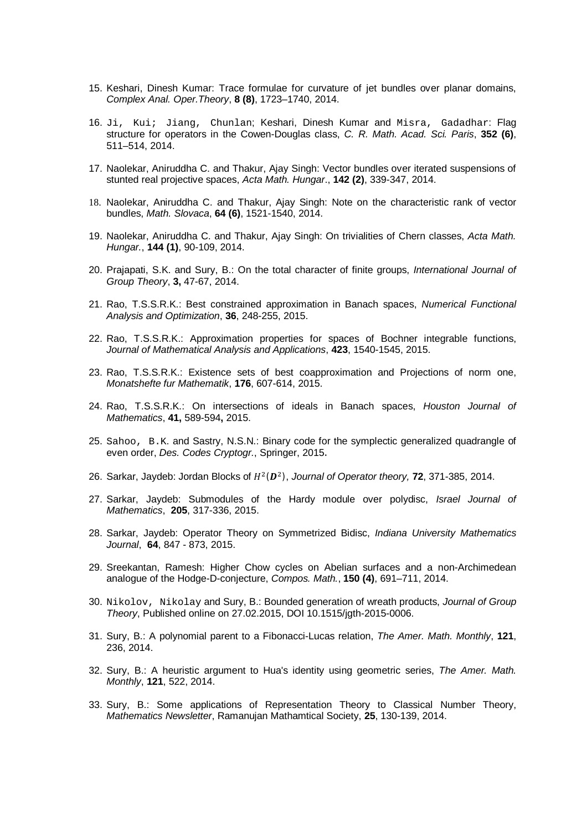- 15. Keshari, Dinesh Kumar: Trace formulae for curvature of jet bundles over planar domains, *Complex Anal. Oper.Theory*, **8 (8)**, 1723–1740, 2014.
- 16. Ji, Kui; Jiang, Chunlan; Keshari, Dinesh Kumar and Misra, Gadadhar: Flag structure for operators in the Cowen-Douglas class, *C. R. Math. Acad. Sci. Paris*, **352 (6)**, 511–514, 2014.
- 17. Naolekar, Aniruddha C. and Thakur, Ajay Singh: Vector bundles over iterated suspensions of stunted real projective spaces, *Acta Math. Hungar*., **142 (2)**, 339-347, 2014.
- 18. Naolekar, Aniruddha C. and Thakur, Ajay Singh: Note on the characteristic rank of vector bundles, *Math. Slovaca*, **64 (6)**, 1521-1540, 2014.
- 19. Naolekar, Aniruddha C. and Thakur, Ajay Singh: On trivialities of Chern classes, *Acta Math. Hungar.*, **144 (1)**, 90-109, 2014.
- 20. Prajapati, S.K. and Sury, B.: On the total character of finite groups, *International Journal of Group Theory*, **3,** 47-67, 2014.
- 21. Rao, T.S.S.R.K.: Best constrained approximation in Banach spaces, *Numerical Functional Analysis and Optimization*, **36**, 248-255, 2015.
- 22. Rao, T.S.S.R.K.: Approximation properties for spaces of Bochner integrable functions, *Journal of Mathematical Analysis and Applications*, **423**, 1540-1545, 2015.
- 23. Rao, T.S.S.R.K.: Existence sets of best coapproximation and Projections of norm one, *Monatshefte fur Mathematik*, **176**, 607-614, 2015.
- 24. Rao, T.S.S.R.K.: On intersections of ideals in Banach spaces, *Houston Journal of Mathematics*, **41,** 589-594**,** 2015.
- 25. Sahoo, B.K. and Sastry, N.S.N.: Binary code for the symplectic generalized quadrangle of even order, *Des. Codes Cryptogr.*, Springer, 2015.
- 26. Sarkar, Jaydeb: Jordan Blocks of  $H^2(D^2)$ , *Journal of Operator theory,* **72**, 371-385, 2014.
- 27. Sarkar, Jaydeb: Submodules of the Hardy module over polydisc, *Israel Journal of Mathematics*, **205**, 317-336, 2015.
- 28. Sarkar, Jaydeb: Operator Theory on Symmetrized Bidisc, *Indiana University Mathematics Journal*, **64**, 847 - 873, 2015.
- 29. Sreekantan, Ramesh: Higher Chow cycles on Abelian surfaces and a non-Archimedean analogue of the Hodge-D-conjecture, *Compos. Math.*, **150 (4)**, 691–711, 2014.
- 30. Nikolov, Nikolay and Sury, B.: Bounded generation of wreath products, *Journal of Group Theory*, Published online on 27.02.2015, DOI 10.1515/jgth-2015-0006.
- 31. Sury, B.: A polynomial parent to a Fibonacci-Lucas relation, *The Amer. Math. Monthly*, **121**, 236, 2014.
- 32. Sury, B.: A heuristic argument to Hua's identity using geometric series, *The Amer. Math. Monthly*, **121**, 522, 2014.
- 33. Sury, B.: Some applications of Representation Theory to Classical Number Theory, *Mathematics Newsletter*, Ramanujan Mathamtical Society, **25**, 130-139, 2014.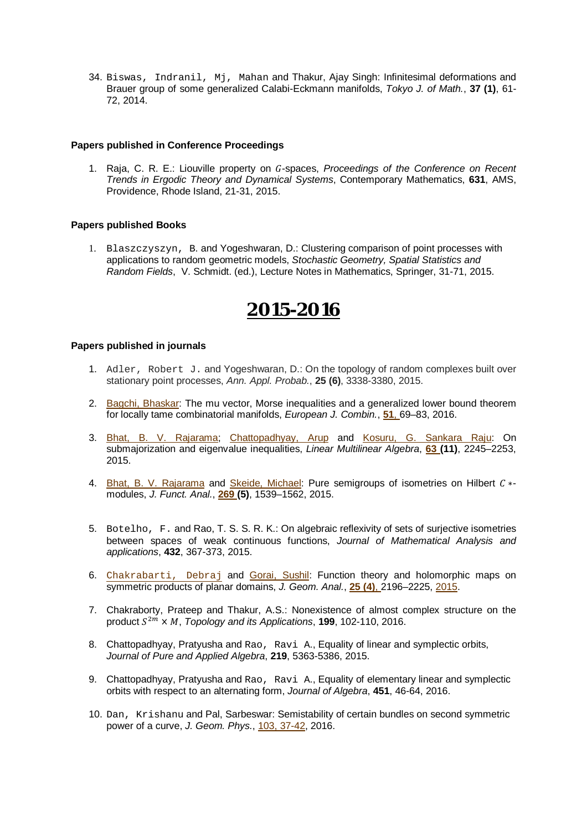34. Biswas, Indranil, Mj, Mahan and Thakur, Ajay Singh: Infinitesimal deformations and Brauer group of some generalized Calabi-Eckmann manifolds, *Tokyo J. of Math.*, **37 (1)**, 61- 72, 2014.

#### **Papers published in Conference Proceedings**

1. Raja, C. R. E.: Liouville property on ܩ-spaces, *Proceedings of the Conference on Recent Trends in Ergodic Theory and Dynamical Systems*, Contemporary Mathematics, **631**, AMS, Providence, Rhode Island, 21-31, 2015.

#### **Papers published Books**

1. Blaszczyszyn, B. and Yogeshwaran, D.: Clustering comparison of point processes with applications to random geometric models, *Stochastic Geometry, Spatial Statistics and Random Fields*, V. Schmidt. (ed.), Lecture Notes in Mathematics, Springer, 31-71, 2015.

# **2015-2016**

- 1. Adler, Robert J. and Yogeshwaran, D.: On the topology of random complexes built over stationary point processes, *Ann. Appl. Probab.*, **25 (6)**, 3338-3380, 2015.
- 2. Bagchi, Bhaskar: The mu vector, Morse inequalities and a generalized lower bound theorem for locally tame combinatorial manifolds, *European J. Combin.*, **51**, 69–83, 2016.
- 3. Bhat, B. V. Rajarama; Chattopadhyay, Arup and Kosuru, G. Sankara Raju: On submajorization and eigenvalue inequalities, *Linear Multilinear Algebra*, **63 (11)**, 2245–2253, 2015.
- 4. Bhat, B. V. Rajarama and Skeide, Michael: Pure semigroups of isometries on Hilbert C \*modules, *J. Funct. Anal.*, **269 (5)**, 1539–1562, 2015.
- 5. Botelho, F. and Rao, T. S. S. R. K.: On algebraic reflexivity of sets of surjective isometries between spaces of weak continuous functions, *Journal of Mathematical Analysis and applications*, **432**, 367-373, 2015.
- 6. Chakrabarti, Debraj and Gorai, Sushil: Function theory and holomorphic maps on symmetric products of planar domains, *J. Geom. Anal.*, **25 (4)**, 2196–2225, 2015.
- 7. Chakraborty, Prateep and Thakur, A.S.: Nonexistence of almost complex structure on the product  $S^{2m} \times M$ , *Topology and its Applications*, **199**, 102-110, 2016.
- 8. Chattopadhyay, Pratyusha and Rao, Ravi A., Equality of linear and symplectic orbits, *Journal of Pure and Applied Algebra*, **219**, 5363-5386, 2015.
- 9. Chattopadhyay, Pratyusha and Rao, Ravi A., Equality of elementary linear and symplectic orbits with respect to an alternating form, *Journal of Algebra*, **451**, 46-64, 2016.
- 10. Dan, Krishanu and Pal, Sarbeswar: Semistability of certain bundles on second symmetric power of a curve, *J. Geom. Phys.*, 103, 37-42, 2016.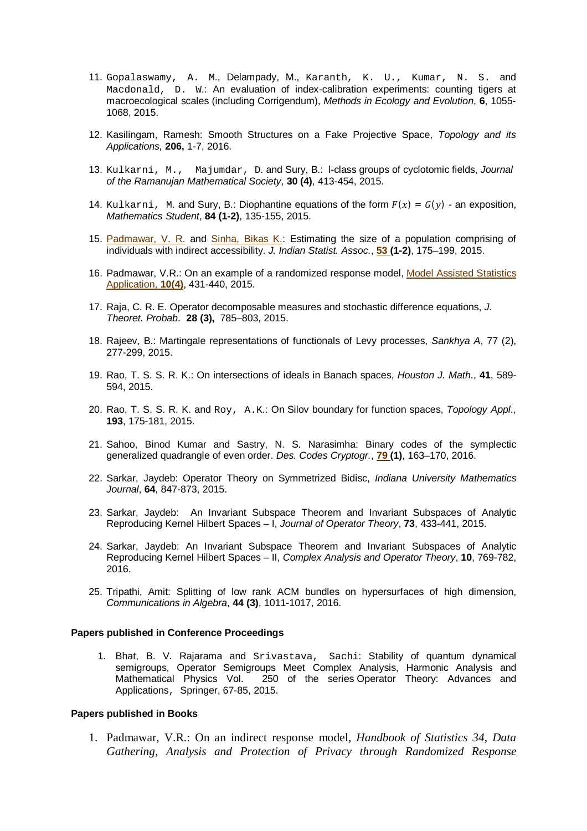- 11. Gopalaswamy, A. M., Delampady, M., Karanth, K. U., Kumar, N. S. and Macdonald, D. W.: An evaluation of index-calibration experiments: counting tigers at macroecological scales (including Corrigendum), *Methods in Ecology and Evolution*, **6**, 1055- 1068, 2015.
- 12. Kasilingam, Ramesh: Smooth Structures on a Fake Projective Space, *Topology and its Applications,* **206,** 1-7, 2016.
- 13. Kulkarni, M., Majumdar, D. and Sury, B.: l-class groups of cyclotomic fields, *Journal of the Ramanujan Mathematical Society*, **30 (4)**, 413-454, 2015.
- 14. Kulkarni, M. and Sury, B.: Diophantine equations of the form  $F(x) = G(y)$  an exposition, *Mathematics Student*, **84 (1-2)**, 135-155, 2015.
- 15. Padmawar, V. R. and Sinha, Bikas K.: Estimating the size of a population comprising of individuals with indirect accessibility. *J. Indian Statist. Assoc.*, **53 (1-2)**, 175–199, 2015.
- 16. Padmawar, V.R.: On an example of a randomized response model, Model Assisted Statistics Application, **10(4)**, 431-440, 2015.
- 17. Raja, C. R. E. Operator decomposable measures and stochastic difference equations, *J. Theoret. Probab*. **28 (3),** 785–803, 2015.
- 18. Rajeev, B.: Martingale representations of functionals of Levy processes, *Sankhya A*, 77 (2), 277-299, 2015.
- 19. Rao, T. S. S. R. K.: On intersections of ideals in Banach spaces, *Houston J. Math*., **41**, 589- 594, 2015.
- 20. Rao, T. S. S. R. K. and Roy, A.K.: On Silov boundary for function spaces, *Topology Appl*., **193**, 175-181, 2015.
- 21. Sahoo, Binod Kumar and Sastry, N. S. Narasimha: Binary codes of the symplectic generalized quadrangle of even order. *Des. Codes Cryptogr.*, **79 (1)**, 163–170, 2016.
- 22. Sarkar, Jaydeb: Operator Theory on Symmetrized Bidisc, *Indiana University Mathematics Journal*, **64**, 847-873, 2015.
- 23. Sarkar, Jaydeb: An Invariant Subspace Theorem and Invariant Subspaces of Analytic Reproducing Kernel Hilbert Spaces – I, *Journal of Operator Theory*, **73**, 433-441, 2015.
- 24. Sarkar, Jaydeb: An Invariant Subspace Theorem and Invariant Subspaces of Analytic Reproducing Kernel Hilbert Spaces – II, *Complex Analysis and Operator Theory*, **10**, 769-782, 2016.
- 25. Tripathi, Amit: Splitting of low rank ACM bundles on hypersurfaces of high dimension, *Communications in Algebra*, **44 (3)**, 1011-1017, 2016.

#### **Papers published in Conference Proceedings**

1. Bhat, B. V. Rajarama and Srivastava, Sachi: Stability of quantum dynamical semigroups, Operator Semigroups Meet Complex Analysis, Harmonic Analysis and Mathematical Physics Vol. 250 of the series Operator Theory: Advances and Applications, Springer, 67-85, 2015.

#### **Papers published in Books**

1. Padmawar, V.R.: On an indirect response model, *Handbook of Statistics 34*, *Data Gathering, Analysis and Protection of Privacy through Randomized Response*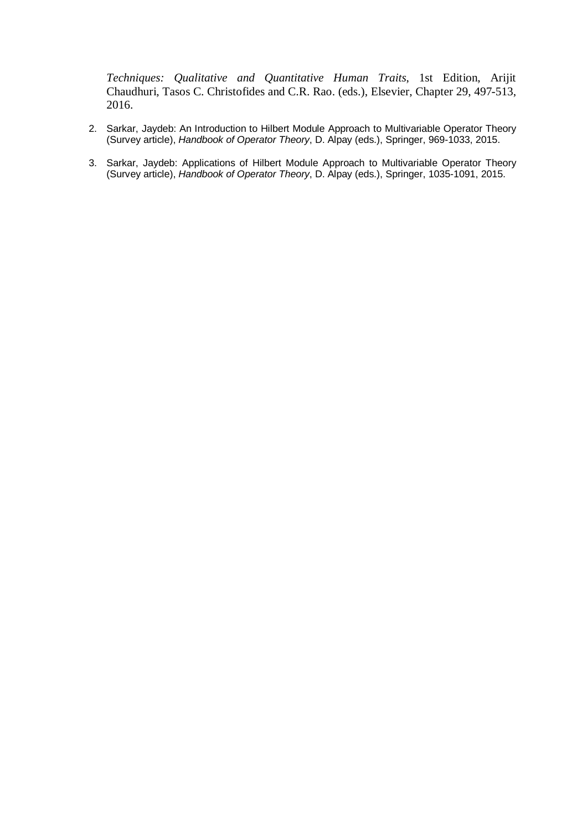*Techniques: Qualitative and Quantitative Human Traits*, 1st Edition, Arijit Chaudhuri, Tasos C. Christofides and C.R. Rao. (eds.), Elsevier, Chapter 29, 497-513, 2016.

- 2. Sarkar, Jaydeb: An Introduction to Hilbert Module Approach to Multivariable Operator Theory (Survey article), *Handbook of Operator Theory*, D. Alpay (eds.), Springer, 969-1033, 2015.
- 3. Sarkar, Jaydeb: Applications of Hilbert Module Approach to Multivariable Operator Theory (Survey article), *Handbook of Operator Theory*, D. Alpay (eds.), Springer, 1035-1091, 2015.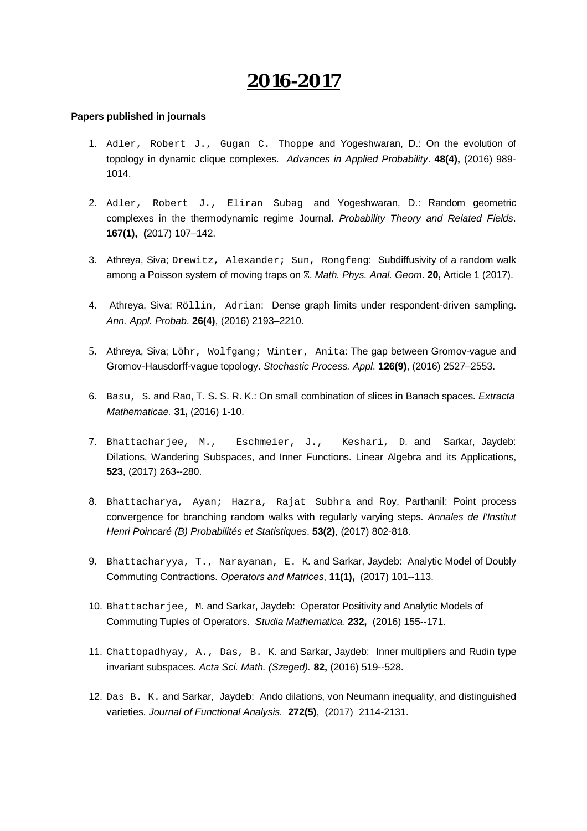- 1. Adler, Robert J., Gugan C. Thoppe and Yogeshwaran, D.: On the evolution of topology in dynamic clique complexes. *Advances in Applied Probability*. **48(4),** (2016) 989- 1014.
- 2. Adler, Robert J., Eliran Subag and Yogeshwaran, D.: Random geometric complexes in the thermodynamic regime Journal. *Probability Theory and Related Fields*. **167(1), (**2017) 107–142.
- 3. Athreya, Siva; Drewitz, Alexander; Sun, Rongfeng: Subdiffusivity of a random walk among a Poisson system of moving traps on ℤ. *Math. Phys. Anal. Geom*. **20,** Article 1 (2017).
- 4. Athreya, Siva; Röllin, Adrian: Dense graph limits under respondent-driven sampling. *Ann. Appl. Probab*. **26(4)**, (2016) 2193–2210.
- 5. Athreya, Siva; Löhr, Wolfgang; Winter, Anita: The gap between Gromov-vague and Gromov-Hausdorff-vague topology. *Stochastic Process. Appl*. **126(9)**, (2016) 2527–2553.
- 6. Basu, S. and Rao, T. S. S. R. K.: On small combination of slices in Banach spaces. *Extracta Mathematicae.* **31,** (2016) 1-10.
- 7. Bhattacharjee, M., Eschmeier, J., Keshari, D. and Sarkar, Jaydeb: Dilations, Wandering Subspaces, and Inner Functions. Linear Algebra and its Applications, **523**, (2017) 263--280.
- 8. Bhattacharya, Ayan; Hazra, Rajat Subhra and Roy, Parthanil: Point process convergence for branching random walks with regularly varying steps. *Annales de l'Institut Henri Poincaré (B) Probabilités et Statistiques*. **53(2)**, (2017) 802-818.
- 9. Bhattacharyya, T., Narayanan, E. K. and Sarkar, Jaydeb: Analytic Model of Doubly Commuting Contractions. *Operators and Matrices*, **11(1),** (2017) 101--113.
- 10. Bhattacharjee, M. and Sarkar, Jaydeb: Operator Positivity and Analytic Models of Commuting Tuples of Operators. *Studia Mathematica.* **232,** (2016) 155--171.
- 11. Chattopadhyay, A., Das, B. K. and Sarkar, Jaydeb: Inner multipliers and Rudin type invariant subspaces. *Acta Sci. Math. (Szeged).* **82,** (2016) 519--528.
- 12. Das B. K. and Sarkar, Jaydeb: Ando dilations, von Neumann inequality, and distinguished varieties. *Journal of Functional Analysis.* **272(5)**, (2017) 2114-2131.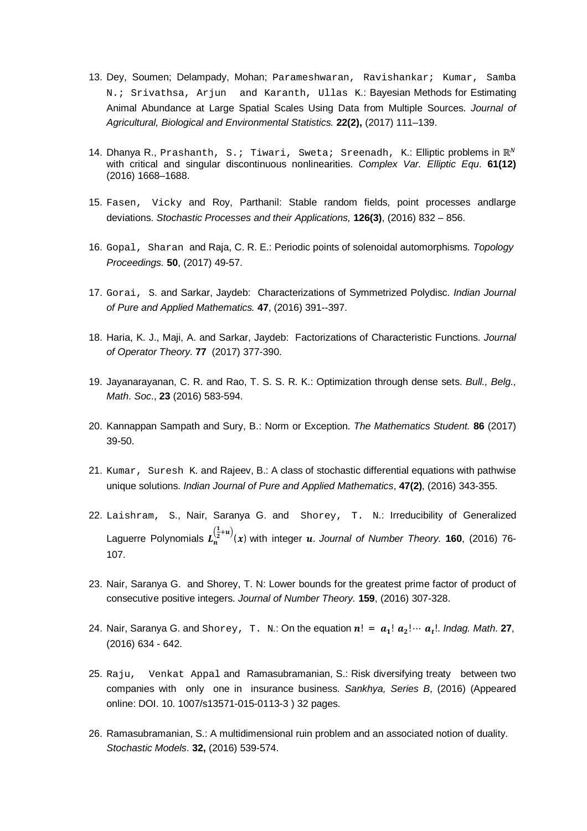- 13. Dey, Soumen; Delampady, Mohan; Parameshwaran, Ravishankar; Kumar, Samba N.; Srivathsa, Arjun and Karanth, Ullas K.: Bayesian Methods for Estimating Animal Abundance at Large Spatial Scales Using Data from Multiple Sources. *Journal of Agricultural, Biological and Environmental Statistics.* **22(2),** (2017) 111–139.
- 14. Dhanya R., Prashanth, S.; Tiwari, Sweta; Sreenadh, K.: Elliptic problems in  $\mathbb{R}^N$ with critical and singular discontinuous nonlinearities. *Complex Var. Elliptic Equ*. **61(12)** (2016) 1668–1688.
- 15. Fasen, Vicky and Roy, Parthanil: Stable random fields, point processes andlarge deviations. *Stochastic Processes and their Applications,* **126(3)**, (2016) 832 – 856.
- 16. Gopal, Sharan and Raja, C. R. E.: Periodic points of solenoidal automorphisms. *Topology Proceedings.* **50**, (2017) 49-57.
- 17. Gorai, S. and Sarkar, Jaydeb: Characterizations of Symmetrized Polydisc. *Indian Journal of Pure and Applied Mathematics.* **47**, (2016) 391--397.
- 18. Haria, K. J., Maji, A. and Sarkar, Jaydeb: Factorizations of Characteristic Functions. *Journal of Operator Theory.* **77** (2017) 377-390.
- 19. Jayanarayanan, C. R. and Rao, T. S. S. R. K.: Optimization through dense sets. *Bull., Belg., Math*. *Soc*., **23** (2016) 583-594.
- 20. Kannappan Sampath and Sury, B.: Norm or Exception. *The Mathematics Student.* **86** (2017) 39-50.
- 21. Kumar, Suresh K. and Rajeev, B.; A class of stochastic differential equations with pathwise unique solutions. *Indian Journal of Pure and Applied Mathematics*, **47(2)**, (2016) 343-355.
- 22. Laishram, S., Nair, Saranya G. and Shorey, T. N.: Irreducibility of Generalized Laguerre Polynomials  $L_n^{\left(\frac{1}{2}+u\right)}(x)$  with integer  $u$ . Journal of Number Theory. **160**, (2016) 76-107.
- 23. Nair, Saranya G. and Shorey, T. N: Lower bounds for the greatest prime factor of product of consecutive positive integers. *Journal of Number Theory.* **159**, (2016) 307-328.
- 24. Nair, Saranya G. and  $\text{Shorey}$ , T. N.: On the equation  $n! = a_1! a_2! \cdots a_t!$ . Indag. Math. 27, (2016) 634 - 642.
- 25. Raju, Venkat Appal and Ramasubramanian, S.: Risk diversifying treaty between two companies with only one in insurance business. *Sankhya, Series B*, (2016) (Appeared online: DOI. 10. 1007/s13571-015-0113-3 ) 32 pages.
- 26. Ramasubramanian, S.: A multidimensional ruin problem and an associated notion of duality. *Stochastic Models*. **32,** (2016) 539-574.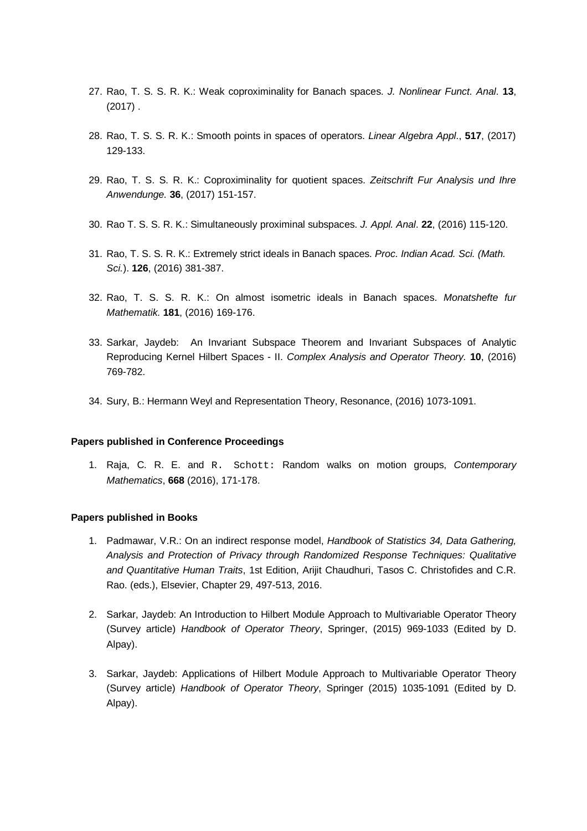- 27. Rao, T. S. S. R. K.: Weak coproximinality for Banach spaces. *J. Nonlinear Funct. Anal*. **13**, (2017) .
- 28. Rao, T. S. S. R. K.: Smooth points in spaces of operators. *Linear Algebra Appl*., **517**, (2017) 129-133.
- 29. Rao, T. S. S. R. K.: Coproximinality for quotient spaces. *Zeitschrift Fur Analysis und Ihre Anwendunge.* **36**, (2017) 151-157.
- 30. Rao T. S. S. R. K.: Simultaneously proximinal subspaces. *J. Appl. Anal*. **22**, (2016) 115-120.
- 31. Rao, T. S. S. R. K.: Extremely strict ideals in Banach spaces. *Proc. Indian Acad. Sci. (Math. Sci.*). **126**, (2016) 381-387.
- 32. Rao, T. S. S. R. K.: On almost isometric ideals in Banach spaces. *Monatshefte fur Mathematik.* **181**, (2016) 169-176.
- 33. Sarkar, Jaydeb: An Invariant Subspace Theorem and Invariant Subspaces of Analytic Reproducing Kernel Hilbert Spaces - II. *Complex Analysis and Operator Theory.* **10**, (2016) 769-782.
- 34. Sury, B.: Hermann Weyl and Representation Theory, Resonance, (2016) 1073-1091.

#### **Papers published in Conference Proceedings**

1. Raja, C. R. E. and R. Schott: Random walks on motion groups, *Contemporary Mathematics*, **668** (2016), 171-178.

#### **Papers published in Books**

- 1. Padmawar, V.R.: On an indirect response model, *Handbook of Statistics 34, Data Gathering, Analysis and Protection of Privacy through Randomized Response Techniques: Qualitative and Quantitative Human Traits*, 1st Edition, Arijit Chaudhuri, Tasos C. Christofides and C.R. Rao. (eds.), Elsevier, Chapter 29, 497-513, 2016.
- 2. Sarkar, Jaydeb: An Introduction to Hilbert Module Approach to Multivariable Operator Theory (Survey article) *Handbook of Operator Theory*, Springer, (2015) 969-1033 (Edited by D. Alpay).
- 3. Sarkar, Jaydeb: Applications of Hilbert Module Approach to Multivariable Operator Theory (Survey article) *Handbook of Operator Theory*, Springer (2015) 1035-1091 (Edited by D. Alpay).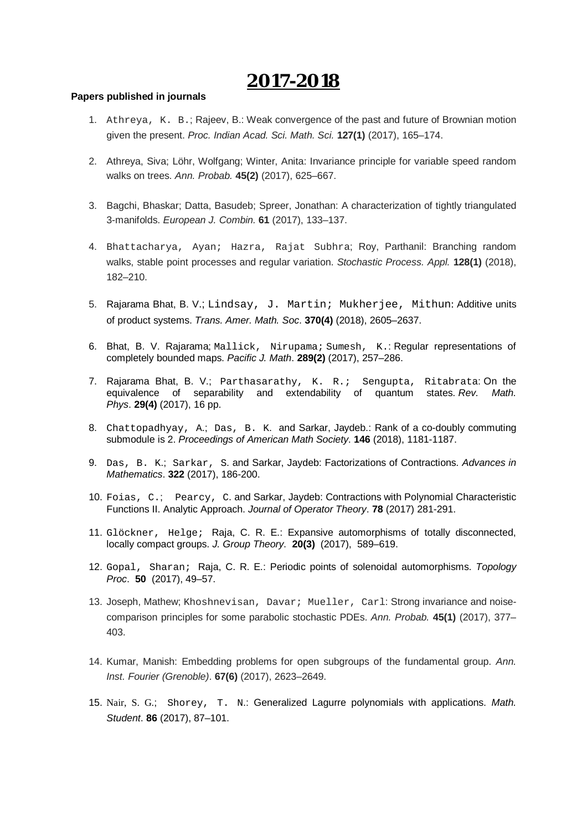- 1. Athreya, K. B.; Rajeev, B.: Weak convergence of the past and future of Brownian motion given the present. *Proc. Indian Acad. Sci. Math. Sci.* **127(1)** (2017), 165–174.
- 2. Athreya, Siva; Löhr, Wolfgang; Winter, Anita: Invariance principle for variable speed random walks on trees. *Ann. Probab.* **45(2)** (2017), 625–667.
- 3. Bagchi, Bhaskar; Datta, Basudeb; Spreer, Jonathan: A characterization of tightly triangulated 3-manifolds. *European J. Combin.* **61** (2017), 133–137.
- 4. Bhattacharya, Ayan; Hazra, Rajat Subhra; Roy, Parthanil: Branching random walks, stable point processes and regular variation. *Stochastic Process. Appl.* **128(1)** (2018), 182–210.
- 5. Rajarama Bhat, B. V.; Lindsay, J. Martin; Mukherjee, Mithun: Additive units of product systems. *Trans. Amer. Math. Soc*. **370(4)** (2018), 2605–2637.
- 6. Bhat, B. V. Rajarama; Mallick, Nirupama; Sumesh, K.: Regular representations of completely bounded maps. *Pacific J. Math*. **289(2)** (2017), 257–286.
- 7. Rajarama Bhat, B. V.; Parthasarathy, K. R.; Sengupta, Ritabrata: On the equivalence of separability and extendability of quantum states. *Rev. Math. Phys*. **29(4)** (2017), 16 pp.
- 8. Chattopadhyay, A.; Das, B. K. and Sarkar, Jaydeb.: Rank of a co-doubly commuting submodule is 2. *Proceedings of American Math Society*. **146** (2018), 1181-1187.
- 9. Das, B. K.; Sarkar, S. and Sarkar, Jaydeb: Factorizations of Contractions. *Advances in Mathematics*. **322** (2017), 186-200.
- 10. Foias, C.; Pearcy, C. and Sarkar, Jaydeb: Contractions with Polynomial Characteristic Functions II. Analytic Approach. *Journal of Operator Theory*. **78** (2017) 281-291.
- 11. Glöckner, Helge; Raja, C. R. E.: Expansive automorphisms of totally disconnected, locally compact groups. *J. Group Theory*. **20(3)** (2017), 589–619.
- 12. Gopal, Sharan; Raja, C. R. E.: Periodic points of solenoidal automorphisms. *Topology Proc*. **50** (2017), 49–57.
- 13. Joseph, Mathew; Khoshnevisan, Davar; Mueller, Carl: Strong invariance and noisecomparison principles for some parabolic stochastic PDEs. *Ann. Probab.* **45(1)** (2017), 377– 403.
- 14. Kumar, Manish: Embedding problems for open subgroups of the fundamental group. *Ann. Inst. Fourier (Grenoble)*. **67(6)** (2017), 2623–2649.
- 15. Nair, S. G.; Shorey, T. N.: Generalized Lagurre polynomials with applications. *Math. Student*. **86** (2017), 87–101.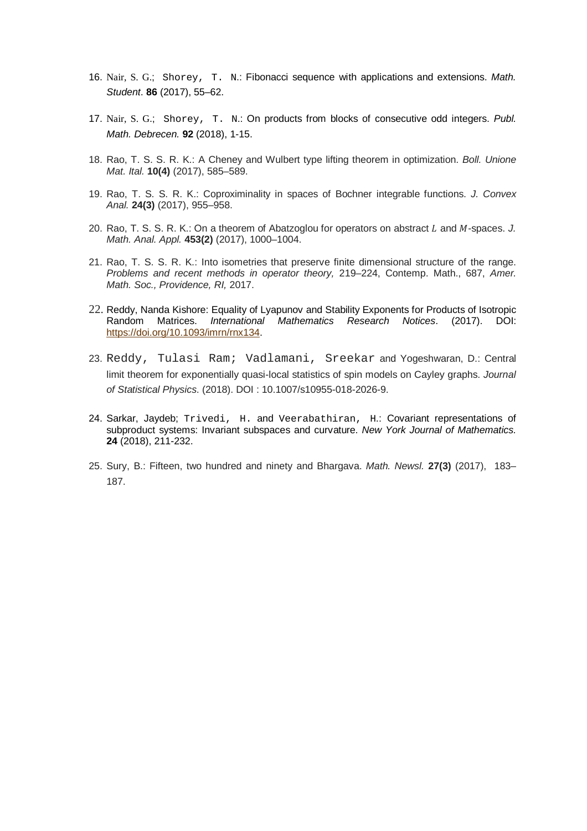- 16. Nair, S. G.; Shorey, T. N.: Fibonacci sequence with applications and extensions. *Math. Student*. **86** (2017), 55–62.
- 17. Nair, S. G.; Shorey, T. N.: On products from blocks of consecutive odd integers. *Publ. Math. Debrecen.* **92** (2018), 1-15.
- 18. Rao, T. S. S. R. K.: A Cheney and Wulbert type lifting theorem in optimization. *Boll. Unione Mat. Ital.* **10(4)** (2017), 585–589.
- 19. Rao, T. S. S. R. K.: Coproximinality in spaces of Bochner integrable functions. *J. Convex Anal.* **24(3)** (2017), 955–958.
- 20. Rao, T. S. S. R. K.: On a theorem of Abatzoglou for operators on abstract L and M-spaces. *J. Math. Anal. Appl.* **453(2)** (2017), 1000–1004.
- 21. Rao, T. S. S. R. K.: Into isometries that preserve finite dimensional structure of the range. *Problems and recent methods in operator theory,* 219–224, Contemp. Math., 687, *Amer. Math. Soc., Providence, RI,* 2017.
- 22. Reddy, Nanda Kishore: Equality of Lyapunov and Stability Exponents for Products of Isotropic Random Matrices. *International Mathematics Research Notices*. (2017). DOI: <https://doi.org/10.1093/imrn/rnx134.>
- 23. Reddy, Tulasi Ram; Vadlamani, Sreekar and Yogeshwaran, D.: Central limit theorem for exponentially quasi-local statistics of spin models on Cayley graphs. *Journal of Statistical Physics*. (2018). DOI : 10.1007/s10955-018-2026-9.
- 24. Sarkar, Jaydeb; Trivedi, H. and Veerabathiran, H.: Covariant representations of subproduct systems: Invariant subspaces and curvature. *New York Journal of Mathematics.* **24** (2018), 211-232.
- 25. Sury, B.: Fifteen, two hundred and ninety and Bhargava. *Math. Newsl.* **27(3)** (2017), 183– 187.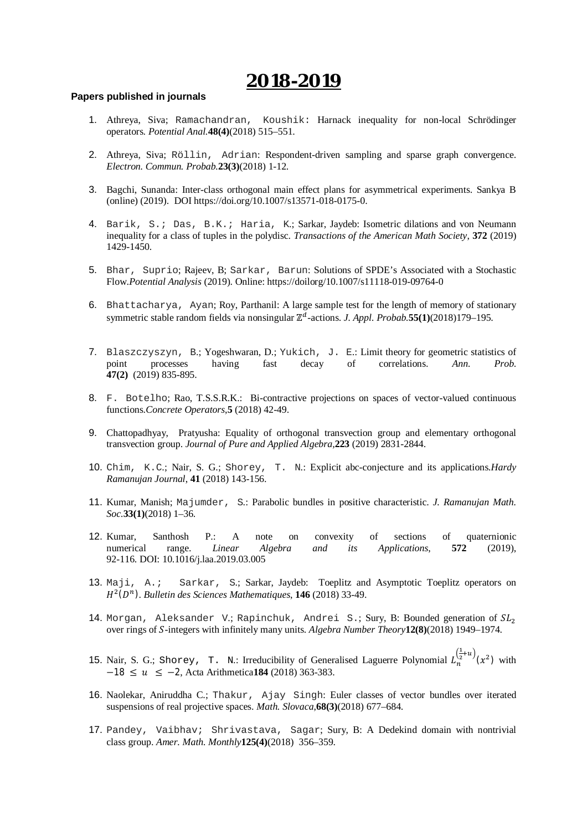- 1. Athreya, Siva; Ramachandran, Koushik: Harnack inequality for non-local Schrödinger operators. *Potential Anal.***48(4)**(2018) 515–551.
- 2. Athreya, Siva; Röllin, Adrian: Respondent-driven sampling and sparse graph convergence. *Electron. Commun. Probab.***23(3)**(2018) 1-12.
- 3. Bagchi, Sunanda: Inter-class orthogonal main effect plans for asymmetrical experiments. Sankya B (online) (2019). DOI <https://doi.org/10.1007/s13571-018-0175-0.>
- 4. Barik, S.; Das, B.K.; Haria, K.; Sarkar, Jaydeb: Isometric dilations and von Neumann inequality for a class of tuples in the polydisc. *Transactions of the American Math Society*, **372** (2019) 1429-1450.
- 5. Bhar, Suprio; Rajeev, B; Sarkar, Barun: Solutions of SPDE's Associated with a Stochastic Flow.*Potential Analysis* (2019). Online: <https://doilorg/10.1007/s11118-019-09764-0>
- 6. Bhattacharya, Ayan; Roy, Parthanil: A large sample test for the length of memory of stationary symmetric stable random fields via nonsingular  $\mathbb{Z}^d$ -actions. *J. Appl. Probab.***55(1)**(2018)179−195.
- 7. Blaszczyszyn, B.; Yogeshwaran, D.; Yukich, J. E.: Limit theory for geometric statistics of point processes having fast decay of correlations. *Ann. Prob*. **47(2)** (2019) 835-895.
- 8. F. Botelho; Rao, T.S.S.R.K.: Bi-contractive projections on spaces of vector-valued continuous functions.*Concrete Operators*,**5** (2018) 42-49.
- 9. Chattopadhyay, Pratyusha: Equality of orthogonal transvection group and elementary orthogonal transvection group. *Journal of Pure and Applied Algebra,***223** (2019) 2831-2844.
- 10. Chim, K.C.; Nair, S. G.; Shorey, T. N.: Explicit abc-conjecture and its applications.*Hardy Ramanujan Journal*, **41** (2018) 143-156.
- 11. Kumar, Manish; Majumder, S.: Parabolic bundles in positive characteristic. *J. Ramanujan Math. Soc.***33(1)**(2018) 1–36.
- 12. Kumar, Santhosh P.: A note on convexity of sections of quaternionic numerical range. *Linear Algebra and its Applications*, **572** (2019), 92-116. DOI: 10.1016/j.laa.2019.03.005
- 13. Maji, A.; Sarkar, S.; Sarkar, Jaydeb: Toeplitz and Asymptotic Toeplitz operators on H<sup>2</sup>(D<sup>n</sup>). Bulletin des Sciences Mathematiques, 146 (2018) 33-49.
- 14. Morgan, Aleksander V.; Rapinchuk, Andrei S.; Sury, B: Bounded generation of  $SL_2$ over rings of ܵ-integers with infinitely many units. *Algebra Number Theory***12(8)**(2018) 1949–1974.
- 15. Nair, S. G.; Shorey, T. N.: Irreducibility of Generalised Laguerre Polynomial  $L_n^{\left(\frac{1}{2}+u\right)}(x^2)$  with −18 ≤ ݑ ≥ −2, Acta Arithmetica**184** (2018) 363-383.
- 16. Naolekar, Aniruddha C.; Thakur, Ajay Singh: Euler classes of vector bundles over iterated suspensions of real projective spaces. *Math. Slovaca*,**68(3)**(2018) 677–684.
- 17. Pandey, Vaibhav; Shrivastava, Sagar; Sury, B: A Dedekind domain with nontrivial class group. *Amer. Math. Monthly***125(4)**(2018) 356–359.